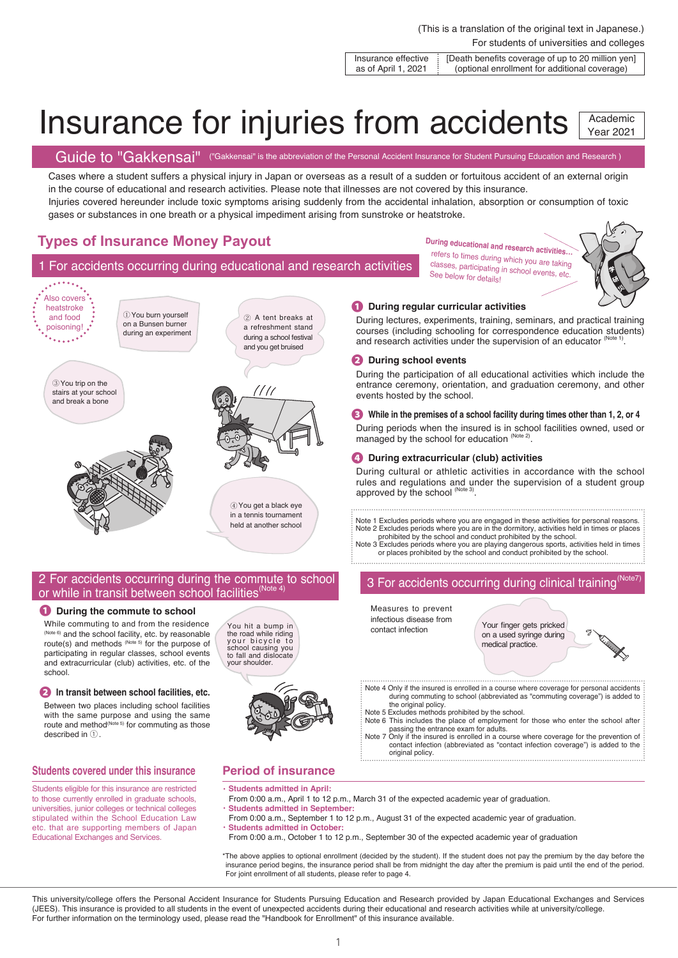### For students of universities and colleges (This is a translation of the original text in Japanese.)

Insurance effective as of April 1, 2021 [Death benefits coverage of up to 20 million yen] (optional enrollment for additional coverage)

### Insurance for injuries from accidents Academic Year 2021

Guide to "Gakkensai" ("Gakkensai" is the abbreviation of the Personal Accident Insurance for Student Pursuing Education and Research)

Cases where a student suffers a physical injury in Japan or overseas as a result of a sudden or fortuitous accident of an external origin in the course of educational and research activities. Please note that illnesses are not covered by this insurance.

Injuries covered hereunder include toxic symptoms arising suddenly from the accidental inhalation, absorption or consumption of toxic gases or substances in one breath or a physical impediment arising from sunstroke or heatstroke.

# **Types of Insurance Money Payout**

# 1 For accidents occurring during educational and research activities

 $\frac{1}{2}$ Also covers **� During regular curricular activities** heatstroke ①You burn yourself and food ② A tent breaks at During lectures, experiments, training, seminars, and practical training on a Bunsen burner poisoning!<sub>.</sub>. a refreshment stand courses (including schooling for correspondence education students) during an experiment during a school festival and research activities under the supervision of an educator (Note 1) and you get bruised **� During school events** During the participation of all educational activities which include the ③You trip on the entrance ceremony, orientation, and graduation ceremony, and other /// stairs at your school events hosted by the school. and break a bone **� While in the premises of a school facility during times other than 1, 2, or 4** During periods when the insured is in school facilities owned, used or managed by the school for education (Note 2). **� During extracurricular (club) activities** During cultural or athletic activities in accordance with the school rules and regulations and under the supervision of a student group approved by the school (Note 3) ④You get a black eye in a tennis tournament Note 1 Excludes periods where you are engaged in these activities for personal reasons. held at another school Note 2 Excludes periods where you are in the dormitory, activities held in times or places prohibited by the school and conduct prohibited by the school. Note 3 Excludes periods where you are playing dangerous sports, activities held in times

## 2 For accidents occurring during the commute to school or while in transit between school facilities<sup>(Note)</sup>

### **� During the commute to school**

While commuting to and from the residence (Note 6) and the school facility, etc. by reasonable route(s) and methods  $(N^{O(16)}$  for the purpose of participating in regular classes, school events and extracurricular (club) activities, etc. of the school.

### **� In transit between school facilities, etc.**

Between two places including school facilities with the same purpose and using the same route and method<sup>(Note 5)</sup> for commuting as those described in ①.

### **Students covered under this insurance**

Students eligible for this insurance are restricted to those currently enrolled in graduate schools, universities, junior colleges or technical colleges stipulated within the School Education Law etc. that are supporting members of Japan Educational Exchanges and Services.

### **Period of insurance Students admitted in April:**

You hit a bump in the road while riding y o u r b i c y c l e t o school causing you to fall and dislocate your shoulder.

- From 0:00 a.m., April 1 to 12 p.m., March 31 of the expected academic year of graduation.
- **Students admitted in September:** 
	- From 0:00 a.m., September 1 to 12 p.m., August 31 of the expected academic year of graduation. **Students admitted in October:**

original policy.

Measures to prevent infectious disease from contact infection

From 0:00 a.m., October 1 to 12 p.m., September 30 of the expected academic year of graduation

\*The above applies to optional enrollment (decided by the student). If the student does not pay the premium by the day before the insurance period begins, the insurance period shall be from midnight the day after the premium is paid until the end of the period. For joint enrollment of all students, please refer to page 4.

the original policy. Note 5 Excludes methods prohibited by the school.

This university/college offers the Personal Accident Insurance for Students Pursuing Education and Research provided by Japan Educational Exchanges and Services (JEES). This insurance is provided to all students in the event of unexpected accidents during their educational and research activities while at university/college. For further information on the terminology used, please read the "Handbook for Enrollment" of this insurance available.

refers to times during which you are taking classes, participating in school events, etc. See below for details!

**During educational and research activities…**

3 For accidents occurring during clinical training<sup>(Note7</sup>)

Your finger gets pricked on a used syringe during medical practice.

Note 4 Only if the insured is enrolled in a course where coverage for personal accidents during commuting to school (abbreviated as "commuting coverage") is added to

Note 6 This includes the place of employment for those who enter the school after passing the entrance exam for adults. Note 7 Only if the insured is enrolled in a course where coverage for the prevention of contact infection (abbreviated as "contact infection coverage") is added to the

or places prohibited by the school and conduct prohibited by the school.



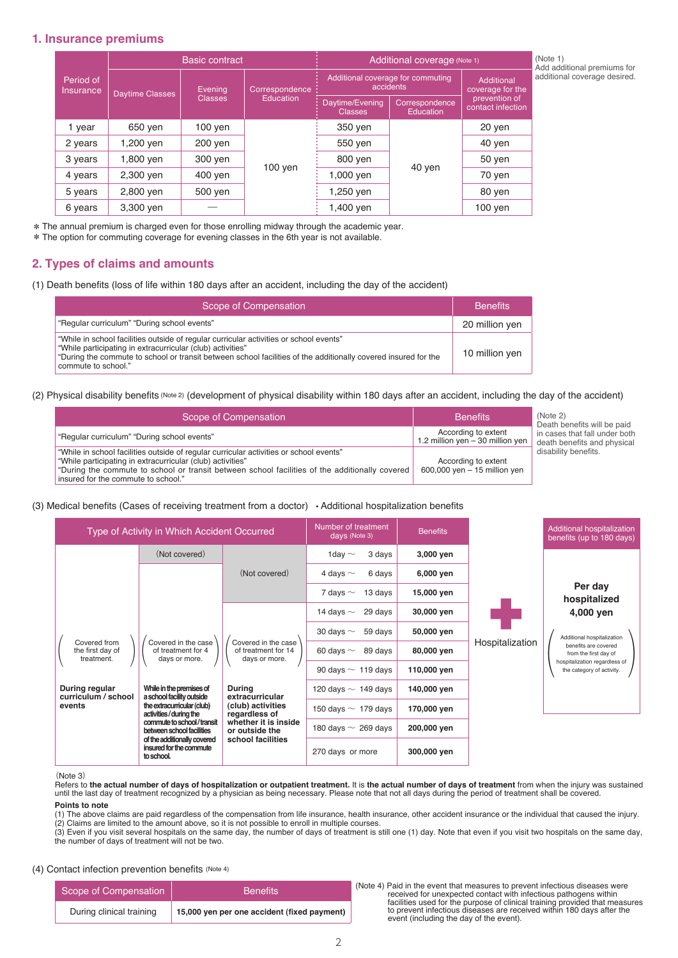## **1. Insurance premiums**

|                               | <b>Basic contract</b>  |                           |                                    | Additional coverage (Note 1)                   |                                    |                                    |
|-------------------------------|------------------------|---------------------------|------------------------------------|------------------------------------------------|------------------------------------|------------------------------------|
| Period of<br><b>Insurance</b> | <b>Daytime Classes</b> | Evening<br><b>Classes</b> | Correspondence<br><b>Education</b> | Additional coverage for commuting<br>accidents |                                    | Additional<br>coverage for the     |
|                               |                        |                           |                                    | Daytime/Evening<br><b>Classes</b>              | Correspondence<br><b>Education</b> | prevention of<br>contact infection |
| year                          | 650 yen                | $100$ yen                 | $100$ yen                          | 350 yen                                        | 40 yen                             | 20 yen                             |
| 2 years                       | 1,200 yen              | 200 yen                   |                                    | 550 yen                                        |                                    | 40 yen                             |
| 3 years                       | 1,800 yen              | 300 yen                   |                                    | 800 yen                                        |                                    | 50 yen                             |
| 4 years                       | 2,300 yen              | 400 yen                   |                                    | 1,000 yen                                      |                                    | 70 yen                             |
| 5 years                       | 2,800 yen              | 500 yen                   |                                    | 1,250 yen                                      |                                    | 80 yen                             |
| 6 years                       | 3,300 yen              |                           |                                    | 1,400 yen                                      |                                    | $100$ yen                          |

\*The annual premium is charged even for those enrolling midway through the academic year.

\*The option for commuting coverage for evening classes in the 6th year is not available.

# **2. Types of claims and amounts**

(1) Death benefits (loss of life within 180 days after an accident, including the day of the accident)

| Scope of Compensation                                                                                                                                                                                                                                                                         | <b>Benefits</b> |
|-----------------------------------------------------------------------------------------------------------------------------------------------------------------------------------------------------------------------------------------------------------------------------------------------|-----------------|
| "Regular curriculum" "During school events"                                                                                                                                                                                                                                                   | 20 million yen  |
| "While in school facilities outside of regular curricular activities or school events"<br>"While participating in extracurricular (club) activities"<br>"During the commute to school or transit between school facilities of the additionally covered insured for the<br>commute to school." | 10 million yen  |

### (2) Physical disability benefits (Note 2) (development of physical disability within 180 days after an accident, including the day of the accident)

| Scope of Compensation                                                                                                                                                                                                                                                                         | <b>Benefits</b>                                         | (Note 2)<br>Death benefits will be paid                      |
|-----------------------------------------------------------------------------------------------------------------------------------------------------------------------------------------------------------------------------------------------------------------------------------------------|---------------------------------------------------------|--------------------------------------------------------------|
| "Regular curriculum" "During school events"                                                                                                                                                                                                                                                   | According to extent<br>1.2 million yen - 30 million yen | in cases that fall under both<br>death benefits and physical |
| "While in school facilities outside of regular curricular activities or school events"<br>"While participating in extracurricular (club) activities"<br>"During the commute to school or transit between school facilities of the additionally covered<br>insured for the commute to school." | According to extent<br>600,000 yen - 15 million yen     | disability benefits.                                         |

(3) Medical benefits (Cases of receiving treatment from a doctor) • Additional hospitalization benefits

| Type of Activity in Which Accident Occurred    |                                                                                                                                                                                                                                                                                                                                                                                                                                                                                                                                                 |                          | Number of treatment<br>days (Note 3) | <b>Benefits</b> |                 | Additional hospitalization<br>benefits (up to 180 days)                                                                                                                           |
|------------------------------------------------|-------------------------------------------------------------------------------------------------------------------------------------------------------------------------------------------------------------------------------------------------------------------------------------------------------------------------------------------------------------------------------------------------------------------------------------------------------------------------------------------------------------------------------------------------|--------------------------|--------------------------------------|-----------------|-----------------|-----------------------------------------------------------------------------------------------------------------------------------------------------------------------------------|
|                                                | (Not covered)<br>(Not covered)<br>Covered in the case<br>Covered in the case<br>of treatment for 14<br>of treatment for 4<br>days or more.<br>days or more.<br>While in the premises of<br>During<br>a school facility outside<br>extracurricular<br>the extracurricular (club)<br>(club) activities<br>activities/during the<br>regardless of<br>commute to school/transit<br>whether it is inside<br>between school facilities<br>or outside the<br>of the additionally covered<br>school facilities<br>insured for the commute<br>to school. |                          | 3 days<br>1day $\sim$                | 3,000 yen       | Hospitalization | Per day<br>hospitalized<br>4,000 ven<br>Additional hospitalization<br>benefits are covered<br>from the first day of<br>hospitalization regardless of<br>the category of activity. |
|                                                |                                                                                                                                                                                                                                                                                                                                                                                                                                                                                                                                                 |                          | 4 days $\sim$<br>6 days              | 6,000 yen       |                 |                                                                                                                                                                                   |
|                                                |                                                                                                                                                                                                                                                                                                                                                                                                                                                                                                                                                 |                          | 13 days<br>7 days $\sim$             | 15,000 yen      |                 |                                                                                                                                                                                   |
|                                                |                                                                                                                                                                                                                                                                                                                                                                                                                                                                                                                                                 |                          | 29 days<br>14 days $\sim$            | 30,000 yen      |                 |                                                                                                                                                                                   |
|                                                |                                                                                                                                                                                                                                                                                                                                                                                                                                                                                                                                                 |                          | 59 days<br>30 days $\sim$            | 50,000 yen      |                 |                                                                                                                                                                                   |
| Covered from<br>the first day of<br>treatment. |                                                                                                                                                                                                                                                                                                                                                                                                                                                                                                                                                 |                          | 89 days<br>60 days $\sim$            | 80,000 yen      |                 |                                                                                                                                                                                   |
|                                                |                                                                                                                                                                                                                                                                                                                                                                                                                                                                                                                                                 |                          | 90 days $\sim 119$ days              | 110,000 yen     |                 |                                                                                                                                                                                   |
| During regular<br>curriculum / school          |                                                                                                                                                                                                                                                                                                                                                                                                                                                                                                                                                 |                          | 120 days $\sim$ 149 days             | 140,000 yen     |                 |                                                                                                                                                                                   |
| events                                         |                                                                                                                                                                                                                                                                                                                                                                                                                                                                                                                                                 |                          | 150 days $\sim$ 179 days             | 170,000 yen     |                 |                                                                                                                                                                                   |
|                                                |                                                                                                                                                                                                                                                                                                                                                                                                                                                                                                                                                 | 180 days $\sim 269$ days | 200,000 yen                          |                 |                 |                                                                                                                                                                                   |
|                                                |                                                                                                                                                                                                                                                                                                                                                                                                                                                                                                                                                 |                          | 270 days or more                     | 300,000 yen     |                 |                                                                                                                                                                                   |

#### (Note 3)

Refers to **the actual number of days of hospitalization or outpatient treatment.** It is **the actual number of days of treatment** from when the injury was sustained until the last day of treatment recognized by a physician as being necessary. Please note that not all days during the period of treatment shall be covered. **Points to note**

(1) The above claims are paid regardless of the compensation from life insurance, health insurance, other accident insurance or the individual that caused the injury. (2) Claims are limited to the amount above, so it is not possible to enroll in multiple courses.

(3) Even if you visit several hospitals on the same day, the number of days of treatment is still one (1) day. Note that even if you visit two hospitals on the same day, the number of days of treatment will not be two.

### (4) Contact infection prevention benefits (Note 4)

| Scope of Compensation    | <b>Benefits</b>                             |  |
|--------------------------|---------------------------------------------|--|
| During clinical training | 15,000 yen per one accident (fixed payment) |  |

Scope of Compensation Benefits<br>During clinical training<br>During clinical training<br>15,000 yen per one accident (fixed payment)<br>15,000 per per one accident (fixed payment)<br>event (including the day of the event).

Add additional premiums for additional coverage desired.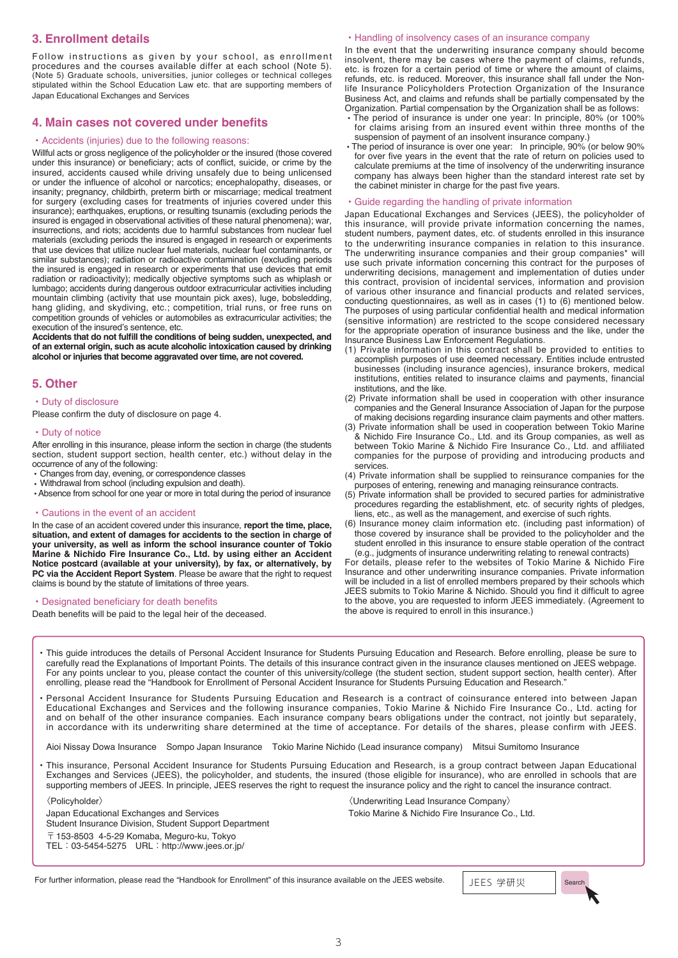# **3. Enrollment details**

Follow instructions as given by your school, as enrollment procedures and the courses available differ at each school (Note 5). (Note 5) Graduate schools, universities, junior colleges or technical colleges stipulated within the School Education Law etc. that are supporting members of Japan Educational Exchanges and Services

### **4. Main cases not covered under benefits**

### • Accidents (injuries) due to the following reasons:

Willful acts or gross negligence of the policyholder or the insured (those covered under this insurance) or beneficiary; acts of conflict, suicide, or crime by the insured, accidents caused while driving unsafely due to being unlicensed or under the influence of alcohol or narcotics; encephalopathy, diseases, or insanity; pregnancy, childbirth, preterm birth or miscarriage; medical treatment for surgery (excluding cases for treatments of injuries covered under this insurance); earthquakes, eruptions, or resulting tsunamis (excluding periods the insured is engaged in observational activities of these natural phenomena); war, insurrections, and riots; accidents due to harmful substances from nuclear fuel materials (excluding periods the insured is engaged in research or experiments that use devices that utilize nuclear fuel materials, nuclear fuel contaminants, or similar substances); radiation or radioactive contamination (excluding periods the insured is engaged in research or experiments that use devices that emit radiation or radioactivity); medically objective symptoms such as whiplash or lumbago; accidents during dangerous outdoor extracurricular activities including mountain climbing (activity that use mountain pick axes), luge, bobsledding, hang gliding, and skydiving, etc.; competition, trial runs, or free runs on competition grounds of vehicles or automobiles as extracurricular activities; the execution of the insured's sentence, etc.

**Accidents that do not fulfill the conditions of being sudden, unexpected, and of an external origin, such as acute alcoholic intoxication caused by drinking alcohol or injuries that become aggravated over time, are not covered.**

### **5. Other**

#### • Duty of disclosure

Please confirm the duty of disclosure on page 4.

#### • Duty of notice

After enrolling in this insurance, please inform the section in charge (the students section, student support section, health center, etc.) without delay in the occurrence of any of the following:

- Changes from day, evening, or correspondence classes
- Withdrawal from school (including expulsion and death).
- Absence from school for one year or more in total during the period of insurance

#### • Cautions in the event of an accident

In the case of an accident covered under this insurance, **report the time, place, situation, and extent of damages for accidents to the section in charge of your university, as well as inform the school insurance counter of Tokio Marine & Nichido Fire Insurance Co., Ltd. by using either an Accident Notice postcard (available at your university), by fax, or alternatively, by PC via the Accident Report System**. Please be aware that the right to request claims is bound by the statute of limitations of three years.

#### • Designated beneficiary for death benefits

Death benefits will be paid to the legal heir of the deceased.

#### • Handling of insolvency cases of an insurance company

In the event that the underwriting insurance company should become insolvent, there may be cases where the payment of claims, refunds, etc. is frozen for a certain period of time or where the amount of claims, refunds, etc. is reduced. Moreover, this insurance shall fall under the Nonlife Insurance Policyholders Protection Organization of the Insurance Business Act, and claims and refunds shall be partially compensated by the Organization. Partial compensation by the Organization shall be as follows:

- The period of insurance is under one year: In principle, 80% (or 100% for claims arising from an insured event within three months of the suspension of payment of an insolvent insurance company.)
- The period of insurance is over one year: In principle, 90% (or below 90% for over five years in the event that the rate of return on policies used to calculate premiums at the time of insolvency of the underwriting insurance company has always been higher than the standard interest rate set by the cabinet minister in charge for the past five years.

#### • Guide regarding the handling of private information

Japan Educational Exchanges and Services (JEES), the policyholder of this insurance, will provide private information concerning the names, student numbers, payment dates, etc. of students enrolled in this insurance to the underwriting insurance companies in relation to this insurance. The underwriting insurance companies and their group companies\* will use such private information concerning this contract for the purposes of underwriting decisions, management and implementation of duties under this contract, provision of incidental services, information and provision of various other insurance and financial products and related services, conducting questionnaires, as well as in cases (1) to (6) mentioned below. The purposes of using particular confidential health and medical information (sensitive information) are restricted to the scope considered necessary for the appropriate operation of insurance business and the like, under the Insurance Business Law Enforcement Regulations.

- (1) Private information in this contract shall be provided to entities to accomplish purposes of use deemed necessary. Entities include entrusted businesses (including insurance agencies), insurance brokers, medical institutions, entities related to insurance claims and payments, financial institutions, and the like.
- (2) Private information shall be used in cooperation with other insurance companies and the General Insurance Association of Japan for the purpose of making decisions regarding insurance claim payments and other matters.
- (3) Private information shall be used in cooperation between Tokio Marine & Nichido Fire Insurance Co., Ltd. and its Group companies, as well as between Tokio Marine & Nichido Fire Insurance Co., Ltd. and affiliated companies for the purpose of providing and introducing products and services.
- (4) Private information shall be supplied to reinsurance companies for the purposes of entering, renewing and managing reinsurance contracts.
- (5) Private information shall be provided to secured parties for administrative procedures regarding the establishment, etc. of security rights of pledges, liens, etc., as well as the management, and exercise of such rights.
- (6) Insurance money claim information etc. (including past information) of those covered by insurance shall be provided to the policyholder and the student enrolled in this insurance to ensure stable operation of the contract (e.g., judgments of insurance underwriting relating to renewal contracts)

For details, please refer to the websites of Tokio Marine & Nichido Fire Insurance and other underwriting insurance companies. Private information will be included in a list of enrolled members prepared by their schools which JEES submits to Tokio Marine & Nichido. Should you find it difficult to agree to the above, you are requested to inform JEES immediately. (Agreement to the above is required to enroll in this insurance.)

• This guide introduces the details of Personal Accident Insurance for Students Pursuing Education and Research. Before enrolling, please be sure to carefully read the Explanations of Important Points. The details of this insurance contract given in the insurance clauses mentioned on JEES webpage. For any points unclear to you, please contact the counter of this university/college (the student section, student support section, health center). After enrolling, please read the "Handbook for Enrollment of Personal Accident Insurance for Students Pursuing Education and Research."

• Personal Accident Insurance for Students Pursuing Education and Research is a contract of coinsurance entered into between Japan Educational Exchanges and Services and the following insurance companies, Tokio Marine & Nichido Fire Insurance Co., Ltd. acting for and on behalf of the other insurance companies. Each insurance company bears obligations under the contract, not jointly but separately, in accordance with its underwriting share determined at the time of acceptance. For details of the shares, please confirm with JEES.

Aioi Nissay Dowa Insurance Sompo Japan Insurance Tokio Marine Nichido (Lead insurance company) Mitsui Sumitomo Insurance

• This insurance, Personal Accident Insurance for Students Pursuing Education and Research, is a group contract between Japan Educational Exchanges and Services (JEES), the policyholder, and students, the insured (those eligible for insurance), who are enrolled in schools that are supporting members of JEES. In principle, JEES reserves the right to request the insurance policy and the right to cancel the insurance contract.

〈Policyholder〉 Japan Educational Exchanges and Services Student Insurance Division, Student Support Department  $\overline{T}$  153-8503 4-5-29 Komaba, Meguro-ku, Tokyo TEL:03-5454-5275 URL:http://www.jees.or.jp/

| <b><i><u>{Underwriting Lead Insurance Company}</u></i></b> |
|------------------------------------------------------------|
| Tokio Marine & Nichido Fire Insurance Co., Ltd.            |

For further information, please read the "Handbook for Enrollment" of this insurance available on the JEES website.  $\|F\| \leq \frac{1}{2}$  IFFS  $\#W$